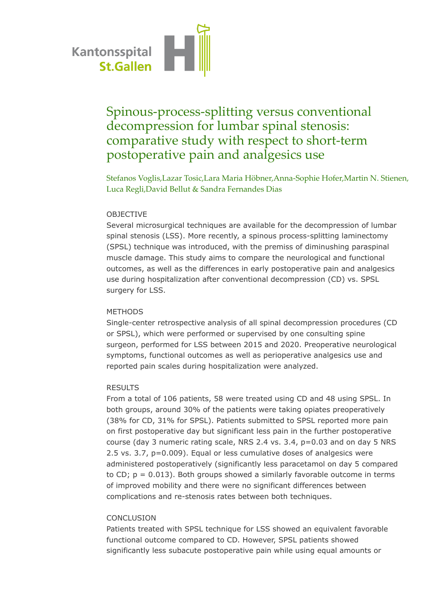

# Spinous-process-splitting versus conventional decompression for lumbar spinal stenosis: comparative study with respect to short-term postoperative pain and analgesics use

Stefanos Voglis,Lazar Tosic,Lara Maria Höbner,Anna-Sophie Hofer,Martin N. Stienen, Luca Regli,David Bellut & Sandra Fernandes Dias

## OBJECTIVE

Several microsurgical techniques are available for the decompression of lumbar spinal stenosis (LSS). More recently, a spinous process-splitting laminectomy (SPSL) technique was introduced, with the premiss of diminushing paraspinal muscle damage. This study aims to compare the neurological and functional outcomes, as well as the differences in early postoperative pain and analgesics use during hospitalization after conventional decompression (CD) vs. SPSL surgery for LSS.

#### METHODS

Single-center retrospective analysis of all spinal decompression procedures (CD or SPSL), which were performed or supervised by one consulting spine surgeon, performed for LSS between 2015 and 2020. Preoperative neurological symptoms, functional outcomes as well as perioperative analgesics use and reported pain scales during hospitalization were analyzed.

#### RESULTS

From a total of 106 patients, 58 were treated using CD and 48 using SPSL. In both groups, around 30% of the patients were taking opiates preoperatively (38% for CD, 31% for SPSL). Patients submitted to SPSL reported more pain on first postoperative day but significant less pain in the further postoperative course (day 3 numeric rating scale, NRS 2.4 vs. 3.4, p=0.03 and on day 5 NRS 2.5 vs. 3.7, p=0.009). Equal or less cumulative doses of analgesics were administered postoperatively (significantly less paracetamol on day 5 compared to CD;  $p = 0.013$ ). Both groups showed a similarly favorable outcome in terms of improved mobility and there were no significant differences between complications and re-stenosis rates between both techniques.

## CONCLUSION

Patients treated with SPSL technique for LSS showed an equivalent favorable functional outcome compared to CD. However, SPSL patients showed significantly less subacute postoperative pain while using equal amounts or